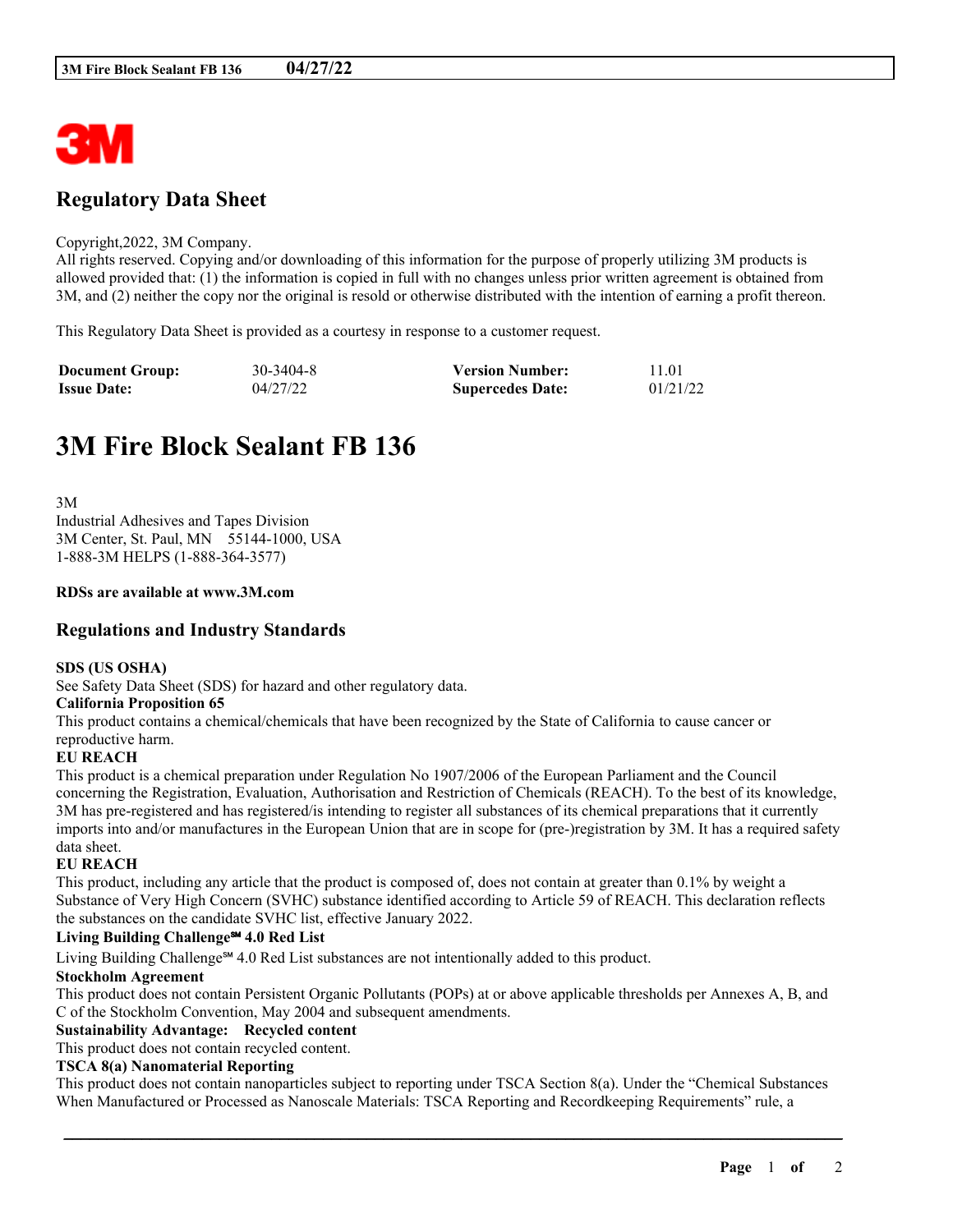

# **Regulatory Data Sheet**

#### Copyright,2022, 3M Company.

All rights reserved. Copying and/or downloading of this information for the purpose of properly utilizing 3M products is allowed provided that: (1) the information is copied in full with no changes unless prior written agreement is obtained from 3M, and (2) neither the copy nor the original is resold or otherwise distributed with the intention of earning a profit thereon.

This Regulatory Data Sheet is provided as a courtesy in response to a customer request.

| <b>Document Group:</b> | 30-3404-8 | <b>Version Number:</b>  | 11.01    |
|------------------------|-----------|-------------------------|----------|
| <b>Issue Date:</b>     | 04/27/22  | <b>Supercedes Date:</b> | 01/21/22 |

# **3M Fire Block Sealant FB 136**

3M Industrial Adhesives and Tapes Division 3M Center, St. Paul, MN 55144-1000, USA 1-888-3M HELPS (1-888-364-3577)

#### **RDSs are available at www.3M.com**

### **Regulations and Industry Standards**

#### **SDS (US OSHA)**

See Safety Data Sheet (SDS) for hazard and other regulatory data.

#### **California Proposition 65**

This product contains a chemical/chemicals that have been recognized by the State of California to cause cancer or reproductive harm.

#### **EU REACH**

This product is a chemical preparation under Regulation No 1907/2006 of the European Parliament and the Council concerning the Registration, Evaluation, Authorisation and Restriction of Chemicals (REACH). To the best of its knowledge, 3M has pre-registered and has registered/is intending to register all substances of its chemical preparations that it currently imports into and/or manufactures in the European Union that are in scope for (pre-)registration by 3M. It has a required safety data sheet.

#### **EU REACH**

This product, including any article that the product is composed of, does not contain at greater than 0.1% by weight a Substance of Very High Concern (SVHC) substance identified according to Article 59 of REACH. This declaration reflects the substances on the candidate SVHC list, effective January 2022.

#### **Living Building Challenge℠ 4.0 Red List**

Living Building Challenge℠ 4.0 Red List substances are not intentionally added to this product.

#### **Stockholm Agreement**

This product does not contain Persistent Organic Pollutants (POPs) at or above applicable thresholds per Annexes A, B, and C of the Stockholm Convention, May 2004 and subsequent amendments.

#### **Sustainability Advantage: Recycled content**

This product does not contain recycled content.

#### **TSCA 8(a) Nanomaterial Reporting**

This product does not contain nanoparticles subject to reporting under TSCA Section 8(a). Under the "Chemical Substances When Manufactured or Processed as Nanoscale Materials: TSCA Reporting and Recordkeeping Requirements" rule, a

\_\_\_\_\_\_\_\_\_\_\_\_\_\_\_\_\_\_\_\_\_\_\_\_\_\_\_\_\_\_\_\_\_\_\_\_\_\_\_\_\_\_\_\_\_\_\_\_\_\_\_\_\_\_\_\_\_\_\_\_\_\_\_\_\_\_\_\_\_\_\_\_\_\_\_\_\_\_\_\_\_\_\_\_\_\_\_\_\_\_